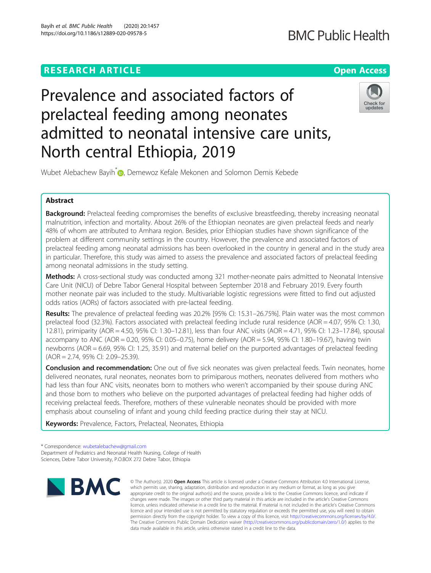# **RESEARCH ARTICLE Example 2018 12:30 THE OPEN ACCESS**

# **BMC Public Health**

# Prevalence and associated factors of prelacteal feeding among neonates admitted to neonatal intensive care units, North central Ethiopia, 2019



Wubet Alebachew Bayih<sup>[\\*](http://orcid.org/0000-0003-1439-4402)</sup> , Demewoz Kefale Mekonen and Solomon Demis Kebede

# Abstract

Background: Prelacteal feeding compromises the benefits of exclusive breastfeeding, thereby increasing neonatal malnutrition, infection and mortality. About 26% of the Ethiopian neonates are given prelacteal feeds and nearly 48% of whom are attributed to Amhara region. Besides, prior Ethiopian studies have shown significance of the problem at different community settings in the country. However, the prevalence and associated factors of prelacteal feeding among neonatal admissions has been overlooked in the country in general and in the study area in particular. Therefore, this study was aimed to assess the prevalence and associated factors of prelacteal feeding among neonatal admissions in the study setting.

Methods: A cross-sectional study was conducted among 321 mother-neonate pairs admitted to Neonatal Intensive Care Unit (NICU) of Debre Tabor General Hospital between September 2018 and February 2019. Every fourth mother neonate pair was included to the study. Multivariable logistic regressions were fitted to find out adjusted odds ratios (AORs) of factors associated with pre-lacteal feeding.

Results: The prevalence of prelacteal feeding was 20.2% [95% CI: 15.31-26.75%]. Plain water was the most common prelacteal food (32.3%). Factors associated with prelacteal feeding include rural residence (AOR = 4.07, 95% CI: 1.30, 12.81), primiparity (AOR = 4.50, 95% CI: 1.30–12.81), less than four ANC visits (AOR = 4.71, 95% CI: 1.23–17.84), spousal accompany to ANC (AOR = 0.20, 95% CI: 0.05–0.75), home delivery (AOR = 5.94, 95% CI: 1.80–19.67), having twin newborns (AOR = 6.69, 95% CI: 1.25, 35.91) and maternal belief on the purported advantages of prelacteal feeding (AOR = 2.74, 95% CI: 2.09–25.39).

**Conclusion and recommendation:** One out of five sick neonates was given prelacteal feeds. Twin neonates, home delivered neonates, rural neonates, neonates born to primiparous mothers, neonates delivered from mothers who had less than four ANC visits, neonates born to mothers who weren't accompanied by their spouse during ANC and those born to mothers who believe on the purported advantages of prelacteal feeding had higher odds of receiving prelacteal feeds. Therefore, mothers of these vulnerable neonates should be provided with more emphasis about counseling of infant and young child feeding practice during their stay at NICU.

Keywords: Prevalence, Factors, Prelacteal, Neonates, Ethiopia

Department of Pediatrics and Neonatal Health Nursing, College of Health Sciences, Debre Tabor University, P.O.BOX 272 Debre Tabor, Ethiopia



© The Author(s), 2020 **Open Access** This article is licensed under a Creative Commons Attribution 4.0 International License, which permits use, sharing, adaptation, distribution and reproduction in any medium or format, as long as you give appropriate credit to the original author(s) and the source, provide a link to the Creative Commons licence, and indicate if changes were made. The images or other third party material in this article are included in the article's Creative Commons licence, unless indicated otherwise in a credit line to the material. If material is not included in the article's Creative Commons licence and your intended use is not permitted by statutory regulation or exceeds the permitted use, you will need to obtain permission directly from the copyright holder. To view a copy of this licence, visit [http://creativecommons.org/licenses/by/4.0/.](http://creativecommons.org/licenses/by/4.0/) The Creative Commons Public Domain Dedication waiver [\(http://creativecommons.org/publicdomain/zero/1.0/](http://creativecommons.org/publicdomain/zero/1.0/)) applies to the data made available in this article, unless otherwise stated in a credit line to the data.

<sup>\*</sup> Correspondence: [wubetalebachew@gmail.com](mailto:wubetalebachew@gmail.com)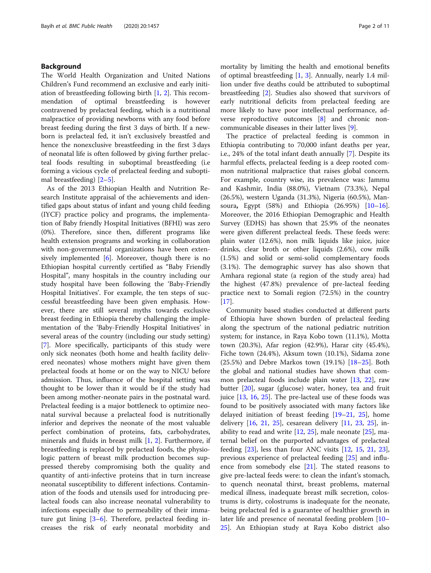### Background

The World Health Organization and United Nations Children's Fund recommend an exclusive and early initiation of breastfeeding following birth  $[1, 2]$  $[1, 2]$  $[1, 2]$  $[1, 2]$ . This recommendation of optimal breastfeeding is however contravened by prelacteal feeding, which is a nutritional malpractice of providing newborns with any food before breast feeding during the first 3 days of birth. If a newborn is prelacteal fed, it isn't exclusively breastfed and hence the nonexclusive breastfeeding in the first 3 days of neonatal life is often followed by giving further prelacteal foods resulting in suboptimal breastfeeding (i.e forming a vicious cycle of prelacteal feeding and suboptimal breastfeeding) [\[2](#page-10-0)–[5\]](#page-10-0).

As of the 2013 Ethiopian Health and Nutrition Research Institute appraisal of the achievements and identified gaps about status of infant and young child feeding (IYCF) practice policy and programs, the implementation of Baby friendly Hospital Initiatives (BFHI) was zero (0%). Therefore, since then, different programs like health extension programs and working in collaboration with non-governmental organizations have been extensively implemented  $[6]$  $[6]$ . Moreover, though there is no Ethiopian hospital currently certified as "Baby Friendly Hospital", many hospitals in the country including our study hospital have been following the 'Baby-Friendly Hospital Initiatives'. For example, the ten steps of successful breastfeeding have been given emphasis. However, there are still several myths towards exclusive breast feeding in Ethiopia thereby challenging the implementation of the 'Baby-Friendly Hospital Initiatives' in several areas of the country (including our study setting) [[7\]](#page-10-0). More specifically, participants of this study were only sick neonates (both home and health facility delivered neonates) whose mothers might have given them prelacteal foods at home or on the way to NICU before admission. Thus, influence of the hospital setting was thought to be lower than it would be if the study had been among mother-neonate pairs in the postnatal ward. Prelacteal feeding is a major bottleneck to optimize neonatal survival because a prelacteal food is nutritionally inferior and deprives the neonate of the most valuable perfect combination of proteins, fats, carbohydrates, minerals and fluids in breast milk [\[1](#page-10-0), [2\]](#page-10-0). Furthermore, if breastfeeding is replaced by prelacteal foods, the physiologic pattern of breast milk production becomes suppressed thereby compromising both the quality and quantity of anti-infective proteins that in turn increase neonatal susceptibility to different infections. Contamination of the foods and utensils used for introducing prelacteal foods can also increase neonatal vulnerability to infections especially due to permeability of their immature gut lining [\[3](#page-10-0)–[6](#page-10-0)]. Therefore, prelacteal feeding increases the risk of early neonatal morbidity and mortality by limiting the health and emotional benefits of optimal breastfeeding [\[1](#page-10-0), [3\]](#page-10-0). Annually, nearly 1.4 million under five deaths could be attributed to suboptimal breastfeeding [\[2](#page-10-0)]. Studies also showed that survivors of early nutritional deficits from prelacteal feeding are more likely to have poor intellectual performance, adverse reproductive outcomes [\[8](#page-10-0)] and chronic noncommunicable diseases in their latter lives [\[9](#page-10-0)].

The practice of prelacteal feeding is common in Ethiopia contributing to 70,000 infant deaths per year, i.e., 24% of the total infant death annually [\[7](#page-10-0)]. Despite its harmful effects, prelacteal feeding is a deep rooted common nutritional malpractice that raises global concern. For example, country wise, its prevalence was: Jammu and Kashmir, India (88.0%), Vietnam (73.3%), Nepal (26.5%), western Uganda (31.3%), Nigeria (60.5%), Mansoura, Egypt  $(58%)$  and Ethiopia  $(26.95%)$   $[10-16]$  $[10-16]$  $[10-16]$  $[10-16]$  $[10-16]$ . Moreover, the 2016 Ethiopian Demographic and Health Survey (EDHS) has shown that 25.9% of the neonates were given different prelacteal feeds. These feeds were: plain water (12.6%), non milk liquids like juice, juice drinks, clear broth or other liquids (2.6%), cow milk (1.5%) and solid or semi-solid complementary foods (3.1%). The demographic survey has also shown that Amhara regional state (a region of the study area) had the highest (47.8%) prevalence of pre-lacteal feeding practice next to Somali region (72.5%) in the country  $[17]$  $[17]$ .

Community based studies conducted at different parts of Ethiopia have shown burden of prelacteal feeding along the spectrum of the national pediatric nutrition system; for instance, in Raya Kobo town (11.1%), Motta town (20.3%), Afar region (42.9%), Harar city (45.4%), Fiche town (24.4%), Aksum town (10.1%), Sidama zone (25.5%) and Debre Markos town (19.1%) [\[18](#page-10-0)–[25\]](#page-10-0). Both the global and national studies have shown that common prelacteal foods include plain water [[13](#page-10-0), [22\]](#page-10-0), raw butter [\[20](#page-10-0)], sugar (glucose) water, honey, tea and fruit juice [\[13](#page-10-0), [16,](#page-10-0) [25\]](#page-10-0). The pre-lacteal use of these foods was found to be positively associated with many factors like delayed initiation of breast feeding [[19](#page-10-0)–[21](#page-10-0), [25](#page-10-0)], home delivery [[16,](#page-10-0) [21](#page-10-0), [25\]](#page-10-0), cesarean delivery [[11,](#page-10-0) [23,](#page-10-0) [25](#page-10-0)], inability to read and write  $[12, 25]$  $[12, 25]$  $[12, 25]$  $[12, 25]$ , male neonate  $[25]$  $[25]$ , maternal belief on the purported advantages of prelacteal feeding [[23](#page-10-0)], less than four ANC visits [\[12](#page-10-0), [15](#page-10-0), [21](#page-10-0), [23](#page-10-0)], previous experience of prelacteal feeding [[25\]](#page-10-0) and influence from somebody else [\[21](#page-10-0)]. The stated reasons to give pre-lacteal feeds were: to clean the infant's stomach, to quench neonatal thirst, breast problems, maternal medical illness, inadequate breast milk secretion, colostrums is dirty, colostrums is inadequate for the neonate, being prelacteal fed is a guarantee of healthier growth in later life and presence of neonatal feeding problem [[10](#page-10-0)– [25\]](#page-10-0). An Ethiopian study at Raya Kobo district also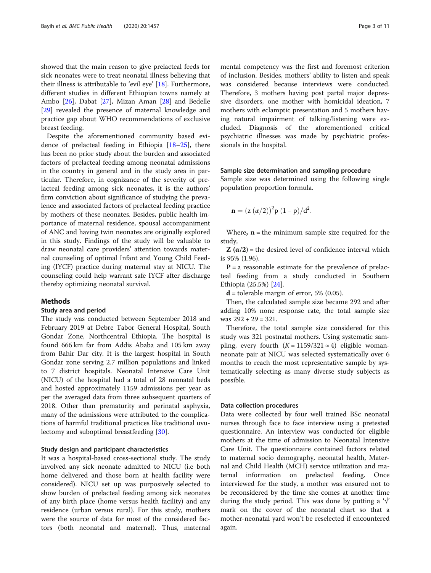showed that the main reason to give prelacteal feeds for sick neonates were to treat neonatal illness believing that their illness is attributable to 'evil eye' [\[18\]](#page-10-0). Furthermore, different studies in different Ethiopian towns namely at Ambo [[26\]](#page-10-0), Dabat [\[27](#page-10-0)], Mizan Aman [\[28\]](#page-10-0) and Bedelle [[29\]](#page-10-0) revealed the presence of maternal knowledge and practice gap about WHO recommendations of exclusive breast feeding.

Despite the aforementioned community based evidence of prelacteal feeding in Ethiopia [\[18](#page-10-0)–[25](#page-10-0)], there has been no prior study about the burden and associated factors of prelacteal feeding among neonatal admissions in the country in general and in the study area in particular. Therefore, in cognizance of the severity of prelacteal feeding among sick neonates, it is the authors' firm conviction about significance of studying the prevalence and associated factors of prelacteal feeding practice by mothers of these neonates. Besides, public health importance of maternal residence, spousal accompaniment of ANC and having twin neonates are originally explored in this study. Findings of the study will be valuable to draw neonatal care providers' attention towards maternal counseling of optimal Infant and Young Child Feeding (IYCF) practice during maternal stay at NICU. The counseling could help warrant safe IYCF after discharge thereby optimizing neonatal survival.

#### Methods

#### Study area and period

The study was conducted between September 2018 and February 2019 at Debre Tabor General Hospital, South Gondar Zone, Northcentral Ethiopia. The hospital is found 666 km far from Addis Ababa and 105 km away from Bahir Dar city. It is the largest hospital in South Gondar zone serving 2.7 million populations and linked to 7 district hospitals. Neonatal Intensive Care Unit (NICU) of the hospital had a total of 28 neonatal beds and hosted approximately 1159 admissions per year as per the averaged data from three subsequent quarters of 2018. Other than prematurity and perinatal asphyxia, many of the admissions were attributed to the complications of harmful traditional practices like traditional uvulectomy and suboptimal breastfeeding [\[30](#page-10-0)].

#### Study design and participant characteristics

It was a hospital-based cross-sectional study. The study involved any sick neonate admitted to NICU (i.e both home delivered and those born at health facility were considered). NICU set up was purposively selected to show burden of prelacteal feeding among sick neonates of any birth place (home versus health facility) and any residence (urban versus rural). For this study, mothers were the source of data for most of the considered factors (both neonatal and maternal). Thus, maternal mental competency was the first and foremost criterion of inclusion. Besides, mothers' ability to listen and speak was considered because interviews were conducted. Therefore, 3 mothers having post partal major depressive disorders, one mother with homicidal ideation, 7 mothers with eclamptic presentation and 5 mothers having natural impairment of talking/listening were excluded. Diagnosis of the aforementioned critical psychiatric illnesses was made by psychiatric professionals in the hospital.

#### Sample size determination and sampling procedure

Sample size was determined using the following single population proportion formula.

$$
n = (z (\alpha/2))^{2} p (1-p)/d^{2}.
$$

Where,  $\mathbf{n}$  = the minimum sample size required for the study,

 $\mathbf{Z}$  ( $\alpha/2$ ) = the desired level of confidence interval which is 95% (1.96).

 $P = a$  reasonable estimate for the prevalence of prelacteal feeding from a study conducted in Southern Ethiopia (25.5%) [[24](#page-10-0)].

 $d$  = tolerable margin of error, 5% (0.05).

Then, the calculated sample size became 292 and after adding 10% none response rate, the total sample size was  $292 + 29 = 321$ .

Therefore, the total sample size considered for this study was 321 postnatal mothers. Using systematic sampling, every fourth  $(K = 1159/321 \approx 4)$  eligible womanneonate pair at NICU was selected systematically over 6 months to reach the most representative sample by systematically selecting as many diverse study subjects as possible.

#### Data collection procedures

Data were collected by four well trained BSc neonatal nurses through face to face interview using a pretested questionnaire. An interview was conducted for eligible mothers at the time of admission to Neonatal Intensive Care Unit. The questionnaire contained factors related to maternal socio demography, neonatal health, Maternal and Child Health (MCH) service utilization and maternal information on prelacteal feeding. Once interviewed for the study, a mother was ensured not to be reconsidered by the time she comes at another time during the study period. This was done by putting a  $\sqrt{\ }$ mark on the cover of the neonatal chart so that a mother-neonatal yard won't be reselected if encountered again.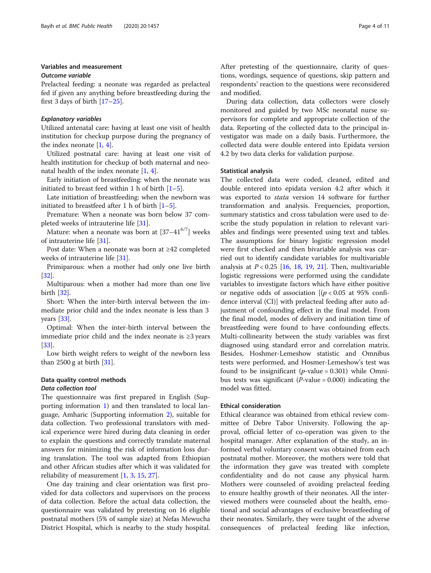### Variables and measurement

#### Outcome variable

Prelacteal feeding: a neonate was regarded as prelacteal fed if given any anything before breastfeeding during the first 3 days of birth [\[17](#page-10-0)–[25\]](#page-10-0).

#### Explanatory variables

Utilized antenatal care: having at least one visit of health institution for checkup purpose during the pregnancy of the index neonate [\[1](#page-10-0), [4](#page-10-0)].

Utilized postnatal care: having at least one visit of health institution for checkup of both maternal and neonatal health of the index neonate [\[1](#page-10-0), [4](#page-10-0)].

Early initiation of breastfeeding: when the neonate was initiated to breast feed within 1 h of birth  $[1-5]$  $[1-5]$  $[1-5]$  $[1-5]$ .

Late initiation of breastfeeding: when the newborn was initiated to breastfeed after 1 h of birth  $[1-5]$  $[1-5]$  $[1-5]$ .

Premature: When a neonate was born below 37 completed weeks of intrauterine life [\[31](#page-10-0)].

Mature: when a neonate was born at  $[37-41^{6/7}]$  weeks of intrauterine life [\[31](#page-10-0)].

Post date: When a neonate was born at ≥42 completed weeks of intrauterine life [\[31](#page-10-0)].

Primiparous: when a mother had only one live birth [[32\]](#page-10-0).

Multiparous: when a mother had more than one live birth [[32](#page-10-0)].

Short: When the inter-birth interval between the immediate prior child and the index neonate is less than 3 years [\[33](#page-10-0)].

Optimal: When the inter-birth interval between the immediate prior child and the index neonate is ≥3 years [[33\]](#page-10-0).

Low birth weight refers to weight of the newborn less than 2500 g at birth  $[31]$  $[31]$  $[31]$ .

#### Data quality control methods Data collection tool

The questionnaire was first prepared in English (Supporting information [1\)](#page-9-0) and then translated to local language, Amharic (Supporting information [2\)](#page-9-0), suitable for data collection. Two professional translators with medical experience were hired during data cleaning in order to explain the questions and correctly translate maternal answers for minimizing the risk of information loss during translation. The tool was adapted from Ethiopian and other African studies after which it was validated for reliability of measurement [[1,](#page-10-0) [3,](#page-10-0) [15,](#page-10-0) [27\]](#page-10-0).

One day training and clear orientation was first provided for data collectors and supervisors on the process of data collection. Before the actual data collection, the questionnaire was validated by pretesting on 16 eligible postnatal mothers (5% of sample size) at Nefas Mewucha District Hospital, which is nearby to the study hospital. After pretesting of the questionnaire, clarity of questions, wordings, sequence of questions, skip pattern and respondents' reaction to the questions were reconsidered and modified.

During data collection, data collectors were closely monitored and guided by two MSc neonatal nurse supervisors for complete and appropriate collection of the data. Reporting of the collected data to the principal investigator was made on a daily basis. Furthermore, the collected data were double entered into Epidata version 4.2 by two data clerks for validation purpose.

#### Statistical analysis

The collected data were coded, cleaned, edited and double entered into epidata version 4.2 after which it was exported to stata version 14 software for further transformation and analysis. Frequencies, proportion, summary statistics and cross tabulation were used to describe the study population in relation to relevant variables and findings were presented using text and tables. The assumptions for binary logistic regression model were first checked and then bivariable analysis was carried out to identify candidate variables for multivariable analysis at  $P < 0.25$  [\[16](#page-10-0), [18](#page-10-0), [19](#page-10-0), [21](#page-10-0)]. Then, multivariable logistic regressions were performed using the candidate variables to investigate factors which have either positive or negative odds of association  $(p < 0.05$  at 95% confidence interval (CI)] with prelacteal feeding after auto adjustment of confounding effect in the final model. From the final model, modes of delivery and initiation time of breastfeeding were found to have confounding effects. Multi-collinearity between the study variables was first diagnosed using standard error and correlation matrix. Besides, Hoshmer-Lemeshow statistic and Omnibus tests were performed, and Hosmer-Lemeshow's test was found to be insignificant ( $p$ -value = 0.301) while Omnibus tests was significant ( $P$ -value = 0.000) indicating the model was fitted.

#### Ethical consideration

Ethical clearance was obtained from ethical review committee of Debre Tabor University. Following the approval, official letter of co-operation was given to the hospital manager. After explanation of the study, an informed verbal voluntary consent was obtained from each postnatal mother. Moreover, the mothers were told that the information they gave was treated with complete confidentiality and do not cause any physical harm. Mothers were counseled of avoiding prelacteal feeding to ensure healthy growth of their neonates. All the interviewed mothers were counseled about the health, emotional and social advantages of exclusive breastfeeding of their neonates. Similarly, they were taught of the adverse consequences of prelacteal feeding like infection,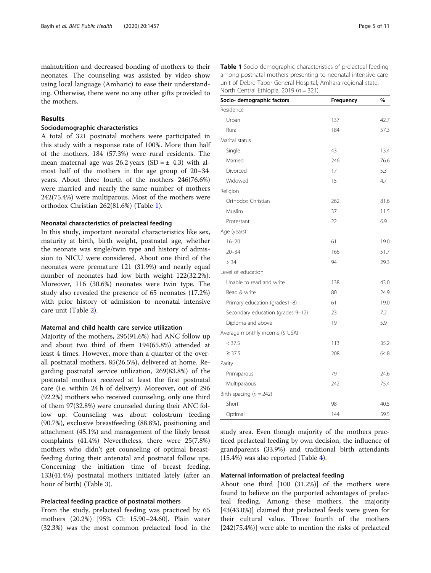malnutrition and decreased bonding of mothers to their neonates. The counseling was assisted by video show using local language (Amharic) to ease their understanding. Otherwise, there were no any other gifts provided to the mothers.

# Results

#### Sociodemographic characteristics

A total of 321 postnatal mothers were participated in this study with a response rate of 100%. More than half of the mothers, 184 (57.3%) were rural residents. The mean maternal age was  $26.2$  years (SD =  $\pm$  4.3) with almost half of the mothers in the age group of 20–34 years. About three fourth of the mothers 246(76.6%) were married and nearly the same number of mothers 242(75.4%) were multiparous. Most of the mothers were orthodox Christian 262(81.6%) (Table 1).

#### Neonatal characteristics of prelacteal feeding

In this study, important neonatal characteristics like sex, maturity at birth, birth weight, postnatal age, whether the neonate was single/twin type and history of admission to NICU were considered. About one third of the neonates were premature 121 (31.9%) and nearly equal number of neonates had low birth weight 122(32.2%). Moreover, 116 (30.6%) neonates were twin type. The study also revealed the presence of 65 neonates (17.2%) with prior history of admission to neonatal intensive care unit (Table [2\)](#page-5-0).

## Maternal and child health care service utilization

Majority of the mothers, 295(91.6%) had ANC follow up and about two third of them 194(65.8%) attended at least 4 times. However, more than a quarter of the overall postnatal mothers, 85(26.5%), delivered at home. Regarding postnatal service utilization, 269(83.8%) of the postnatal mothers received at least the first postnatal care (i.e. within 24 h of delivery). Moreover, out of 296 (92.2%) mothers who received counseling, only one third of them 97(32.8%) were counseled during their ANC follow up. Counseling was about colostrum feeding (90.7%), exclusive breastfeeding (88.8%), positioning and attachment (45.1%) and management of the likely breast complaints (41.4%) Nevertheless, there were 25(7.8%) mothers who didn't get counseling of optimal breastfeeding during their antenatal and postnatal follow ups. Concerning the initiation time of breast feeding, 133(41.4%) postnatal mothers initiated lately (after an hour of birth) (Table [3\)](#page-5-0).

#### Prelacteal feeding practice of postnatal mothers

From the study, prelacteal feeding was practiced by 65 mothers (20.2%) [95% CI: 15.90–24.60]. Plain water (32.3%) was the most common prelacteal food in the

| Residence                         |     |      |
|-----------------------------------|-----|------|
| Urban                             | 137 | 42.7 |
| Rural                             | 184 | 57.3 |
| Marital status                    |     |      |
| Single                            | 43  | 13.4 |
| Married                           | 246 | 76.6 |
| Divorced                          | 17  | 5.3  |
| Widowed                           | 15  | 4.7  |
| Religion                          |     |      |
| Orthodox Christian                | 262 | 81.6 |
| Muslim                            | 37  | 11.5 |
| Protestant                        | 22  | 6.9  |
| Age (years)                       |     |      |
| $16 - 20$                         | 61  | 19.0 |
| $20 - 34$                         | 166 | 51.7 |
| > 34                              | 94  | 29.3 |
| Level of education                |     |      |
| Unable to read and write          | 138 | 43.0 |
| Read & write                      | 80  | 24.9 |
| Primary education (grades1-8)     | 61  | 19.0 |
| Secondary education (grades 9-12) | 23  | 7.2  |
| Diploma and above                 | 19  | 5.9  |
| Average monthly income (\$ USA)   |     |      |
| < 37.5                            | 113 | 35.2 |
| $\geq 37.5$                       | 208 | 64.8 |
| Parity                            |     |      |
| Primiparous                       | 79  | 24.6 |
| Multiparaous                      | 242 | 75.4 |
| Birth spacing $(n = 242)$         |     |      |
| Short                             | 98  | 40.5 |
| Optimal                           | 144 | 59.5 |

study area. Even though majority of the mothers practiced prelacteal feeding by own decision, the influence of grandparents (33.9%) and traditional birth attendants (15.4%) was also reported (Table [4](#page-6-0)).

#### Maternal information of prelacteal feeding

About one third [100 (31.2%)] of the mothers were found to believe on the purported advantages of prelacteal feeding. Among these mothers, the majority [43(43.0%)] claimed that prelacteal feeds were given for their cultural value. Three fourth of the mothers [242(75.4%)] were able to mention the risks of prelacteal

| <b>Table 1</b> Socio-demographic characteristics of prelacteal feeding |
|------------------------------------------------------------------------|
| among postnatal mothers presenting to neonatal intensive care          |
| unit of Debre Tabor General Hospital, Amhara regional state,           |
| North Central Ethiopia, 2019 ( $n = 321$ )                             |

Socio- demographic factors Frequency %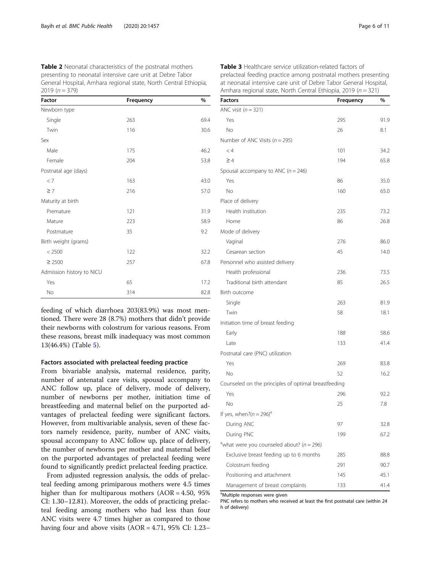<span id="page-5-0"></span>

| <b>Table 2</b> Neonatal characteristics of the postnatal mothers |
|------------------------------------------------------------------|
| presenting to neonatal intensive care unit at Debre Tabor        |
| General Hospital, Amhara regional state, North Central Ethiopia, |
| $2019(n = 379)$                                                  |

| <b>Factor</b>             | Frequency | %    |
|---------------------------|-----------|------|
| Newborn type              |           |      |
| Single                    | 263       | 69.4 |
| Twin                      | 116       | 30.6 |
| Sex                       |           |      |
| Male                      | 175       | 46.2 |
| Female                    | 204       | 53.8 |
| Postnatal age (days)      |           |      |
| < 7                       | 163       | 43.0 |
| $\geq 7$                  | 216       | 57.0 |
| Maturity at birth         |           |      |
| Premature                 | 121       | 31.9 |
| Mature                    | 223       | 58.9 |
| Postmature                | 35        | 9.2  |
| Birth weight (grams)      |           |      |
| < 2500                    | 122       | 32.2 |
| $\geq 2500$               | 257       | 67.8 |
| Admission history to NICU |           |      |
| Yes                       | 65        | 17.2 |
| No                        | 314       | 82.8 |

feeding of which diarrhoea 203(83.9%) was most mentioned. There were 28 (8.7%) mothers that didn't provide their newborns with colostrum for various reasons. From these reasons, breast milk inadequacy was most common 13(46.4%) (Table [5\)](#page-7-0).

#### Factors associated with prelacteal feeding practice

From bivariable analysis, maternal residence, parity, number of antenatal care visits, spousal accompany to ANC follow up, place of delivery, mode of delivery, number of newborns per mother, initiation time of breastfeeding and maternal belief on the purported advantages of prelacteal feeding were significant factors. However, from multivariable analysis, seven of these factors namely residence, parity, number of ANC visits, spousal accompany to ANC follow up, place of delivery, the number of newborns per mother and maternal belief on the purported advantages of prelacteal feeding were found to significantly predict prelacteal feeding practice.

From adjusted regression analysis, the odds of prelacteal feeding among primiparous mothers were 4.5 times higher than for multiparous mothers (AOR = 4.50, 95% CI: 1.30–12.81). Moreover, the odds of practicing prelacteal feeding among mothers who had less than four ANC visits were 4.7 times higher as compared to those having four and above visits (AOR = 4.71, 95% CI: 1.23–

| Table 3 Healthcare service utilization-related factors of         |
|-------------------------------------------------------------------|
| prelacteal feeding practice among postnatal mothers presenting    |
| at neonatal intensive care unit of Debre Tabor General Hospital.  |
| Amhara regional state, North Central Ethiopia, 2019 ( $n = 321$ ) |

| <b>Factors</b>                                            | Frequency | %    |
|-----------------------------------------------------------|-----------|------|
| ANC visit $(n = 321)$                                     |           |      |
| Yes                                                       | 295       | 91.9 |
| No                                                        | 26        | 8.1  |
| Number of ANC Visits ( $n = 295$ )                        |           |      |
| < 4                                                       | 101       | 34.2 |
| $\geq 4$                                                  | 194       | 65.8 |
| Spousal accompany to ANC ( $n = 246$ )                    |           |      |
| Yes                                                       | 86        | 35.0 |
| No                                                        | 160       | 65.0 |
| Place of delivery                                         |           |      |
| Health institution                                        | 235       | 73.2 |
| Home                                                      | 86        | 26.8 |
| Mode of delivery                                          |           |      |
| Vaginal                                                   | 276       | 86.0 |
| Cesarean section                                          | 45        | 14.0 |
| Personnel who assisted delivery                           |           |      |
| Health professional                                       | 236       | 73.5 |
| Traditional birth attendant                               | 85        | 26.5 |
| Birth outcome                                             |           |      |
| Single                                                    | 263       | 81.9 |
| Twin                                                      | 58        | 18.1 |
| Initiation time of breast feeding                         |           |      |
| Early                                                     | 188       | 58.6 |
| Late                                                      | 133       | 41.4 |
| Postnatal care (PNC) utilization                          |           |      |
| Yes                                                       | 269       | 83.8 |
| No                                                        | 52        | 16.2 |
| Counseled on the principles of optimal breastfeeding      |           |      |
| Yes                                                       | 296       | 92.2 |
| No                                                        | 25        | 7.8  |
| If yes, when? $(n = 296)^{a}$                             |           |      |
| During ANC                                                | 97        | 32.8 |
| During PNC                                                | 199       | 67.2 |
| <sup>a</sup> what were you counseled about? ( $n = 296$ ) |           |      |
| Exclusive breast feeding up to 6 months                   | 285       | 88.8 |
| Colostrum feeding                                         | 291       | 90.7 |
| Positioning and attachment                                | 145       | 45.1 |
| Management of breast complaints                           | 133       | 41.4 |

<sup>a</sup>Multiple responses were given

PNC refers to mothers who received at least the first postnatal care (within 24 h of delivery)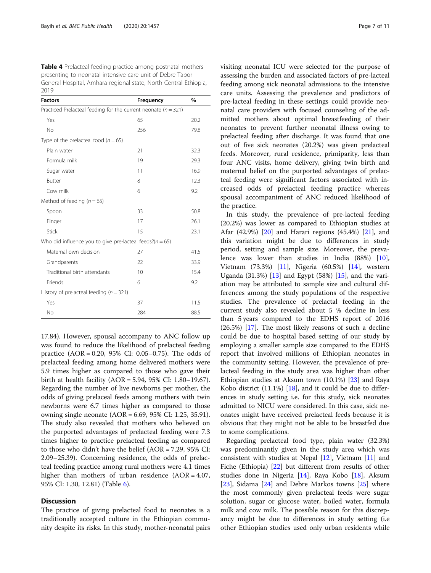<span id="page-6-0"></span>Table 4 Prelacteal feeding practice among postnatal mothers presenting to neonatal intensive care unit of Debre Tabor General Hospital, Amhara regional state, North Central Ethiopia, 2019

| <b>Factors</b>                                                     | Frequency | %    |  |  |  |  |  |  |
|--------------------------------------------------------------------|-----------|------|--|--|--|--|--|--|
| Practiced Prelacteal feeding for the current neonate ( $n = 321$ ) |           |      |  |  |  |  |  |  |
| Yes                                                                | 65        | 20.2 |  |  |  |  |  |  |
| <b>No</b>                                                          | 256       | 79.8 |  |  |  |  |  |  |
| Type of the prelacteal food $(n = 65)$                             |           |      |  |  |  |  |  |  |
| Plain water                                                        | 21        | 32.3 |  |  |  |  |  |  |
| Formula milk                                                       | 19        | 29.3 |  |  |  |  |  |  |
| Sugar water                                                        | 11        | 16.9 |  |  |  |  |  |  |
| <b>Butter</b>                                                      | 8         | 12.3 |  |  |  |  |  |  |
| Cow milk                                                           | 6         | 9.2  |  |  |  |  |  |  |
| Method of feeding ( $n = 65$ )                                     |           |      |  |  |  |  |  |  |
| Spoon                                                              | 33        | 50.8 |  |  |  |  |  |  |
| Finger                                                             | 17        | 26.1 |  |  |  |  |  |  |
| <b>Stick</b>                                                       | 15        | 23.1 |  |  |  |  |  |  |
| Who did influence you to give pre-lacteal feeds?( $n = 65$ )       |           |      |  |  |  |  |  |  |
| Maternal own decision                                              | 27        | 41.5 |  |  |  |  |  |  |
| Grandparents                                                       | 22        | 33.9 |  |  |  |  |  |  |
| Traditional birth attendants                                       | 10        | 15.4 |  |  |  |  |  |  |
| <b>Friends</b>                                                     | 6         | 9.2  |  |  |  |  |  |  |
| History of prelacteal feeding ( $n = 321$ )                        |           |      |  |  |  |  |  |  |
| Yes                                                                | 37        | 11.5 |  |  |  |  |  |  |
| No                                                                 | 284       | 88.5 |  |  |  |  |  |  |

17.84). However, spousal accompany to ANC follow up was found to reduce the likelihood of prelacteal feeding practice (AOR = 0.20, 95% CI: 0.05–0.75). The odds of prelacteal feeding among home delivered mothers were 5.9 times higher as compared to those who gave their birth at health facility (AOR = 5.94, 95% CI: 1.80–19.67). Regarding the number of live newborns per mother, the odds of giving prelaceal feeds among mothers with twin newborns were 6.7 times higher as compared to those owning single neonate (AOR = 6.69, 95% CI: 1.25, 35.91). The study also revealed that mothers who believed on the purported advantages of prelacteal feeding were 7.3 times higher to practice prelacteal feeding as compared to those who didn't have the belief (AOR = 7.29, 95% CI: 2.09–25.39). Concerning residence, the odds of prelacteal feeding practice among rural mothers were 4.1 times higher than mothers of urban residence  $(AOR = 4.07,$ 95% CI: 1.30, 12.81) (Table [6](#page-8-0)).

#### **Discussion**

The practice of giving prelacteal food to neonates is a traditionally accepted culture in the Ethiopian community despite its risks. In this study, mother-neonatal pairs visiting neonatal ICU were selected for the purpose of assessing the burden and associated factors of pre-lacteal feeding among sick neonatal admissions to the intensive care units. Assessing the prevalence and predictors of pre-lacteal feeding in these settings could provide neonatal care providers with focused counseling of the admitted mothers about optimal breastfeeding of their neonates to prevent further neonatal illness owing to prelacteal feeding after discharge. It was found that one out of five sick neonates (20.2%) was given prelacteal feeds. Moreover, rural residence, primiparity, less than four ANC visits, home delivery, giving twin birth and maternal belief on the purported advantages of prelacteal feeding were significant factors associated with increased odds of prelacteal feeding practice whereas spousal accompaniment of ANC reduced likelihood of the practice.

In this study, the prevalence of pre-lacteal feeding (20.2%) was lower as compared to Ethiopian studies at Afar (42.9%) [[20\]](#page-10-0) and Harari regions (45.4%) [[21\]](#page-10-0), and this variation might be due to differences in study period, setting and sample size. Moreover, the prevalence was lower than studies in India (88%) [\[10](#page-10-0)], Vietnam (73.3%) [\[11](#page-10-0)], Nigeria (60.5%) [[14\]](#page-10-0), western Uganda (31.3%) [[13\]](#page-10-0) and Egypt (58%) [[15\]](#page-10-0), and the variation may be attributed to sample size and cultural differences among the study populations of the respective studies. The prevalence of prelactal feeding in the current study also revealed about 5 % decline in less than 5 years compared to the EDHS report of 2016 (26.5%) [\[17\]](#page-10-0). The most likely reasons of such a decline could be due to hospital based setting of our study by employing a smaller sample size compared to the EDHS report that involved millions of Ethiopian neonates in the community setting. However, the prevalence of prelacteal feeding in the study area was higher than other Ethiopian studies at Aksum town  $(10.1\%)$   $[23]$  $[23]$  and Raya Kobo district (11.1%) [\[18](#page-10-0)], and it could be due to differences in study setting i.e. for this study, sick neonates admitted to NICU were considered. In this case, sick neonates might have received prelacteal feeds because it is obvious that they might not be able to be breastfed due to some complications.

Regarding prelacteal food type, plain water (32.3%) was predominantly given in the study area which was consistent with studies at Nepal [[12\]](#page-10-0), Vietnam [[11\]](#page-10-0) and Fiche (Ethiopia) [[22\]](#page-10-0) but different from results of other studies done in Nigeria [\[14](#page-10-0)], Raya Kobo [\[18](#page-10-0)], Aksum [[23\]](#page-10-0), Sidama [\[24](#page-10-0)] and Debre Markos towns  $[25]$  $[25]$  where the most commonly given prelacteal feeds were sugar solution, sugar or glucose water, boiled water, formula milk and cow milk. The possible reason for this discrepancy might be due to differences in study setting (i.e other Ethiopian studies used only urban residents while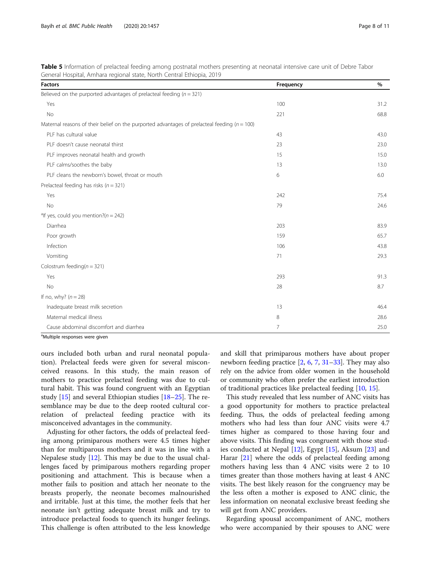<span id="page-7-0"></span>

|                                                                       | Table 5 Information of prelacteal feeding among postnatal mothers presenting at neonatal intensive care unit of Debre Tabor |
|-----------------------------------------------------------------------|-----------------------------------------------------------------------------------------------------------------------------|
| General Hospital, Amhara regional state, North Central Ethiopia, 2019 |                                                                                                                             |

| <b>Factors</b>                                                                                   | Frequency      | $\frac{9}{6}$ |
|--------------------------------------------------------------------------------------------------|----------------|---------------|
| Believed on the purported advantages of prelacteal feeding ( $n = 321$ )                         |                |               |
| Yes                                                                                              | 100            | 31.2          |
| No                                                                                               | 221            | 68.8          |
| Maternal reasons of their belief on the purported advantages of prelacteal feeding ( $n = 100$ ) |                |               |
| PLE has cultural value                                                                           | 43             | 43.0          |
| PLF doesn't cause neonatal thirst                                                                | 23             | 23.0          |
| PLF improves neonatal health and growth                                                          | 15             | 15.0          |
| PLF calms/soothes the baby                                                                       | 13             | 13.0          |
| PLF cleans the newborn's bowel, throat or mouth                                                  | 6              | 6.0           |
| Prelacteal feeding has risks ( $n = 321$ )                                                       |                |               |
| Yes                                                                                              | 242            | 75.4          |
| <b>No</b>                                                                                        | 79             | 24.6          |
| <sup>a</sup> lf yes, could you mention?( $n = 242$ )                                             |                |               |
| Diarrhea                                                                                         | 203            | 83.9          |
| Poor growth                                                                                      | 159            | 65.7          |
| Infection                                                                                        | 106            | 43.8          |
| Vomiting                                                                                         | 71             | 29.3          |
| Colostrum feeding( $n = 321$ )                                                                   |                |               |
| Yes                                                                                              | 293            | 91.3          |
| No                                                                                               | 28             | 8.7           |
| If no, why? $(n = 28)$                                                                           |                |               |
| Inadequate breast milk secretion                                                                 | 13             | 46.4          |
| Maternal medical illness                                                                         | 8              | 28.6          |
| Cause abdominal discomfort and diarrhea                                                          | $\overline{7}$ | 25.0          |

<sup>a</sup>Multiple responses were given

ours included both urban and rural neonatal population). Prelacteal feeds were given for several misconceived reasons. In this study, the main reason of mothers to practice prelacteal feeding was due to cultural habit. This was found congruent with an Egyptian study [[15\]](#page-10-0) and several Ethiopian studies [[18](#page-10-0)–[25](#page-10-0)]. The resemblance may be due to the deep rooted cultural correlation of prelacteal feeding practice with its misconceived advantages in the community.

Adjusting for other factors, the odds of prelacteal feeding among primiparous mothers were 4.5 times higher than for multiparous mothers and it was in line with a Nepalese study [\[12](#page-10-0)]. This may be due to the usual challenges faced by primiparous mothers regarding proper positioning and attachment. This is because when a mother fails to position and attach her neonate to the breasts properly, the neonate becomes malnourished and irritable. Just at this time, the mother feels that her neonate isn't getting adequate breast milk and try to introduce prelacteal foods to quench its hunger feelings. This challenge is often attributed to the less knowledge and skill that primiparous mothers have about proper newborn feeding practice  $[2, 6, 7, 31-33]$  $[2, 6, 7, 31-33]$  $[2, 6, 7, 31-33]$  $[2, 6, 7, 31-33]$  $[2, 6, 7, 31-33]$  $[2, 6, 7, 31-33]$  $[2, 6, 7, 31-33]$  $[2, 6, 7, 31-33]$  $[2, 6, 7, 31-33]$  $[2, 6, 7, 31-33]$ . They may also rely on the advice from older women in the household or community who often prefer the earliest introduction of traditional practices like prelacteal feeding [[10,](#page-10-0) [15\]](#page-10-0).

This study revealed that less number of ANC visits has a good opportunity for mothers to practice prelacteal feeding. Thus, the odds of prelacteal feeding among mothers who had less than four ANC visits were 4.7 times higher as compared to those having four and above visits. This finding was congruent with those studies conducted at Nepal [[12\]](#page-10-0), Egypt [\[15](#page-10-0)], Aksum [\[23](#page-10-0)] and Harar [[21](#page-10-0)] where the odds of prelacteal feeding among mothers having less than 4 ANC visits were 2 to 10 times greater than those mothers having at least 4 ANC visits. The best likely reason for the congruency may be the less often a mother is exposed to ANC clinic, the less information on neonatal exclusive breast feeding she will get from ANC providers.

Regarding spousal accompaniment of ANC, mothers who were accompanied by their spouses to ANC were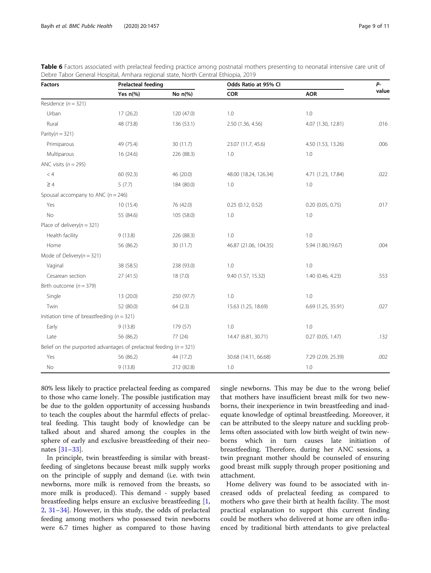| <b>Factors</b>                                                         | <b>Prelacteal feeding</b> |            | Odds Ratio at 95% CI  | $P-$                |       |  |
|------------------------------------------------------------------------|---------------------------|------------|-----------------------|---------------------|-------|--|
|                                                                        | Yes $n$ <sup>(%)</sup>    | No n(%)    | COR                   | <b>AOR</b>          | value |  |
| Residence $(n = 321)$                                                  |                           |            |                       |                     |       |  |
| Urban                                                                  | 17(26.2)                  | 120 (47.0) | 1.0                   | 1.0                 |       |  |
| Rural                                                                  | 48 (73.8)                 | 136 (53.1) | 2.50 (1.36, 4.56)     | 4.07 (1.30, 12.81)  | .016  |  |
| Parity( $n = 321$ )                                                    |                           |            |                       |                     |       |  |
| Primiparous                                                            | 49 (75.4)                 | 30 (11.7)  | 23.07 (11.7, 45.6)    | 4.50 (1.53, 13.26)  | .006  |  |
| Multiparous                                                            | 16 (24.6)                 | 226 (88.3) | 1.0                   | 1.0                 |       |  |
| ANC visits ( $n = 295$ )                                               |                           |            |                       |                     |       |  |
| < 4                                                                    | 60 (92.3)                 | 46 (20.0)  | 48.00 (18.24, 126.34) | 4.71 (1.23, 17.84)  | .022  |  |
| $\geq 4$                                                               | 5(7.7)                    | 184 (80.0) | 1.0                   | 1.0                 |       |  |
| Spousal accompany to ANC ( $n = 246$ )                                 |                           |            |                       |                     |       |  |
| Yes                                                                    | 10(15.4)                  | 76 (42.0)  | 0.25(0.12, 0.52)      | $0.20$ (0.05, 0.75) | .017  |  |
| No                                                                     | 55 (84.6)                 | 105 (58.0) | 1.0                   | 1.0                 |       |  |
| Place of delivery( $n = 321$ )                                         |                           |            |                       |                     |       |  |
| Health facility                                                        | 9(13.8)                   | 226 (88.3) | 1.0                   | 1.0                 |       |  |
| Home                                                                   | 56 (86.2)                 | 30 (11.7)  | 46.87 (21.06, 104.35) | 5.94 (1.80,19.67)   | .004  |  |
| Mode of Delivery( $n = 321$ )                                          |                           |            |                       |                     |       |  |
| Vaginal                                                                | 38 (58.5)                 | 238 (93.0) | 1.0                   | 1.0                 |       |  |
| Cesarean section<br>27(41.5)                                           |                           | 18(7.0)    | 9.40 (1.57, 15.32)    | 1.40 (0.46, 4.23)   | .553  |  |
| Birth outcome $(n = 379)$                                              |                           |            |                       |                     |       |  |
| Single                                                                 | 13 (20.0)                 | 250 (97.7) | 1.0                   | 1.0                 |       |  |
| Twin                                                                   | 52 (80.0)                 | 64(2.3)    | 15.63 (1.25, 18.69)   | 6.69 (1.25, 35.91)  | .027  |  |
| Initiation time of breastfeeding ( $n = 321$ )                         |                           |            |                       |                     |       |  |
| Early                                                                  | 9(13.8)                   | 179 (57)   | 1.0                   | 1.0                 |       |  |
| 56 (86.2)<br>77 (24)<br>Late                                           |                           |            | 14.47 (6.81, 30.71)   | $0.27$ (0.05, 1.47) | .132  |  |
| Belief on the purported advantages of prelacteal feeding ( $n = 321$ ) |                           |            |                       |                     |       |  |
| Yes                                                                    | 56 (86.2)                 | 44 (17.2)  | 30.68 (14.11, 66.68)  | 7.29 (2.09, 25.39)  | .002  |  |
| No                                                                     | 9(13.8)                   | 212 (82.8) | 1.0                   | 1.0                 |       |  |

<span id="page-8-0"></span>

|  | Table 6 Factors associated with prelacteal feeding practice among postnatal mothers presenting to neonatal intensive care unit of |  |  |  |  |  |  |
|--|-----------------------------------------------------------------------------------------------------------------------------------|--|--|--|--|--|--|
|  | Debre Tabor General Hospital, Amhara regional state, North Central Ethiopia, 2019                                                 |  |  |  |  |  |  |

80% less likely to practice prelacteal feeding as compared to those who came lonely. The possible justification may be due to the golden opportunity of accessing husbands to teach the couples about the harmful effects of prelacteal feeding. This taught body of knowledge can be talked about and shared among the couples in the sphere of early and exclusive breastfeeding of their neonates [[31](#page-10-0)–[33\]](#page-10-0).

In principle, twin breastfeeding is similar with breastfeeding of singletons because breast milk supply works on the principle of supply and demand (i.e. with twin newborns, more milk is removed from the breasts, so more milk is produced). This demand - supply based breastfeeding helps ensure an exclusive breastfeeding [\[1](#page-10-0), [2,](#page-10-0) [31](#page-10-0)–[34\]](#page-10-0). However, in this study, the odds of prelacteal feeding among mothers who possessed twin newborns were 6.7 times higher as compared to those having

single newborns. This may be due to the wrong belief that mothers have insufficient breast milk for two newborns, their inexperience in twin breastfeeding and inadequate knowledge of optimal breastfeeding. Moreover, it can be attributed to the sleepy nature and suckling problems often associated with low birth weight of twin newborns which in turn causes late initiation of breastfeeding. Therefore, during her ANC sessions, a twin pregnant mother should be counseled of ensuring good breast milk supply through proper positioning and attachment.

Home delivery was found to be associated with increased odds of prelacteal feeding as compared to mothers who gave their birth at health facility. The most practical explanation to support this current finding could be mothers who delivered at home are often influenced by traditional birth attendants to give prelacteal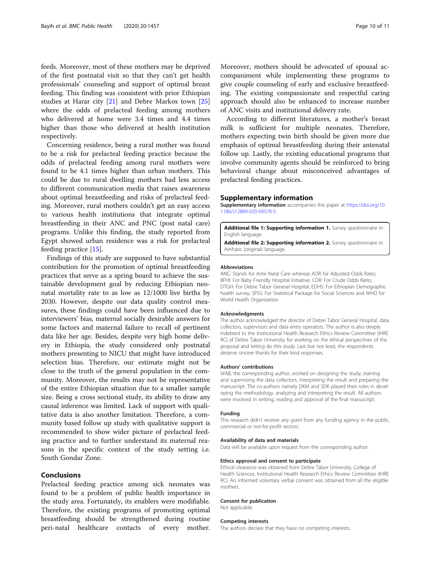<span id="page-9-0"></span>feeds. Moreover, most of these mothers may be deprived of the first postnatal visit so that they can't get health professionals' counseling and support of optimal breast feeding. This finding was consistent with prior Ethiopian studies at Harar city [[21\]](#page-10-0) and Debre Markos town [[25](#page-10-0)] where the odds of prelacteal feeding among mothers who delivered at home were 3.4 times and 4.4 times higher than those who delivered at health institution respectively.

Concerning residence, being a rural mother was found to be a risk for prelacteal feeding practice because the odds of prelacteal feeding among rural mothers were found to be 4.1 times higher than urban mothers. This could be due to rural dwelling mothers had less access to different communication media that raises awareness about optimal breastfeeding and risks of prelacteal feeding. Moreover, rural mothers couldn't get an easy access to various health institutions that integrate optimal breastfeeding in their ANC and PNC (post natal care) programs. Unlike this finding, the study reported from Egypt showed urban residence was a risk for prelacteal feeding practice [[15](#page-10-0)].

Findings of this study are supposed to have substantial contribution for the promotion of optimal breastfeeding practices that serve as a spring board to achieve the sustainable development goal by reducing Ethiopian neonatal mortality rate to as low as 12/1000 live births by 2030. However, despite our data quality control measures, these findings could have been influenced due to interviewers' bias, maternal socially desirable answers for some factors and maternal failure to recall of pertinent data like her age. Besides, despite very high home delivery in Ethiopia, the study considered only postnatal mothers presenting to NICU that might have introduced selection bias. Therefore, our estimate might not be close to the truth of the general population in the community. Moreover, the results may not be representative of the entire Ethiopian situation due to a smaller sample size. Being a cross sectional study, its ability to draw any causal inference was limited. Lack of support with qualitative data is also another limitation. Therefore, a community based follow up study with qualitative support is recommended to show wider picture of prelacteal feeding practice and to further understand its maternal reasons in the specific context of the study setting i.e. South Gondar Zone.

#### Conclusions

Prelacteal feeding practice among sick neonates was found to be a problem of public health importance in the study area. Fortunately, its enablers were modifiable. Therefore, the existing programs of promoting optimal breastfeeding should be strengthened during routine peri-natal healthcare contacts of every mother. Moreover, mothers should be advocated of spousal accompaniment while implementing these programs to give couple counseling of early and exclusive breastfeeding. The existing compassionate and respectful caring approach should also be enhanced to increase number of ANC visits and institutional delivery rate.

According to different literatures, a mother's breast milk is sufficient for multiple neonates. Therefore, mothers expecting twin birth should be given more due emphasis of optimal breastfeeding during their antenatal follow up. Lastly, the existing educational programs that involve community agents should be reinforced to bring behavioral change about misconceived advantages of prelacteal feeding practices.

#### Supplementary information

Supplementary information accompanies this paper at [https://doi.org/10.](https://doi.org/10.1186/s12889-020-09578-5) [1186/s12889-020-09578-5](https://doi.org/10.1186/s12889-020-09578-5).

Additional file 1: Supporting information 1. Survey questionnaire in English language.

Additional file 2: Supporting information 2. Survey questionnaire in Amharic (original) language.

#### Abbreviations

ANC: Stands for Ante Natal Care whereas AOR for Adjusted Odds Ratio; BFHI: For Baby Friendly Hospital Initiative; COR: For Crude Odds Ratio; DTGH: For Debre Tabor General Hospital; EDHS: For Ethiopian Demographic health survey; SPSS: For Statistical Package for Social Sciences and WHO for World Health Organization

#### Acknowledgments

The author acknowledged the director of Debre Tabor General Hospital, data collectors, supervisors and data entry operators. The author is also deeply indebted to the Institutional Health Research Ethics Review Committee (IHRE RC) of Debre Tabor University for working on the ethical perspectives of the proposal and letting do this study. Last but not least, the respondents deserve sincere thanks for their kind responses.

#### Authors' contributions

WAB, the corresponding author, worked on designing the study, training and supervising the data collectors, interpreting the result and preparing the manuscript. The co-authors namely DKM and SDK played their roles in developing the methodology, analyzing and interpreting the result. All authors were involved in writing, reading and approval of the final manuscript.

#### Funding

This research didn't receive any grant from any funding agency in the public, commercial or not-for-profit sectors.

#### Availability of data and materials

Data will be available upon request from the corresponding author.

#### Ethics approval and consent to participate

Ethical clearance was obtained from Debre Tabor University, College of Health Sciences, Institutional Health Research Ethics Review Committee (IHRE RC). An informed voluntary verbal consent was obtained from all the eligible mothers.

#### Consent for publication

Not applicable.

#### Competing interests

The authors declare that they have no competing interests.